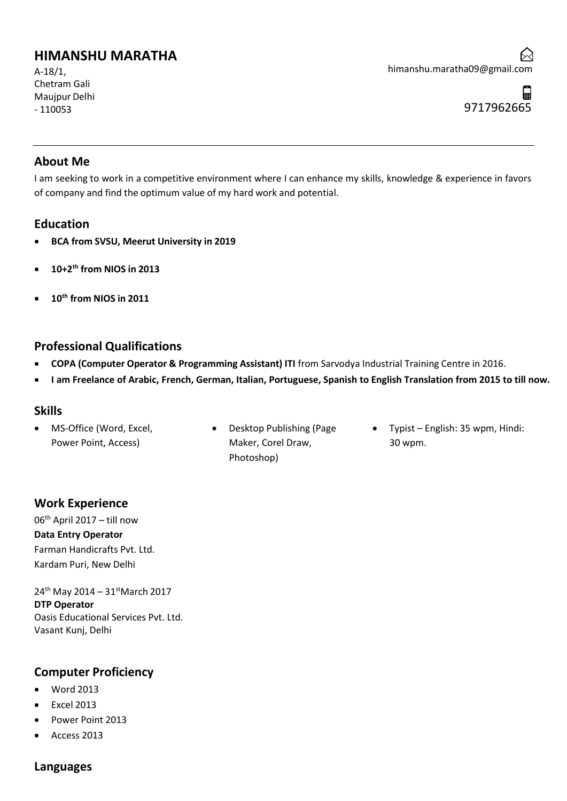# **HIMANSHU MARATHA**

A-18/1, Chetram Gali Maujpur Delhi - 110053

#### **About Me**

I am seeking to work in a competitive environment where I can enhance my skills, knowledge & experience in favors of company and find the optimum value of my hard work and potential.

### **Education**

- **BCA from SVSU, Meerut University in 2019**
- **10+2th from NIOS in 2013**
- **10th from NIOS in 2011**

### **Professional Qualifications**

- **COPA (Computer Operator & Programming Assistant) ITI** from Sarvodya Industrial Training Centre in 2016.
- **I am Freelance of Arabic, French, German, Italian, Portuguese, Spanish to English Translation from 2015 to till now.**

#### **Skills**

- MS-Office (Word, Excel, Power Point, Access)
- Desktop Publishing (Page Maker, Corel Draw, Photoshop)
- Typist English: 35 wpm, Hindi: 30 wpm.

# **Work Experience**

06th April 2017 – till now **Data Entry Operator** Farman Handicrafts Pvt. Ltd. Kardam Puri, New Delhi

24<sup>th</sup> May 2014 – 31<sup>st</sup>March 2017 **DTP Operator** Oasis Educational Services Pvt. Ltd. Vasant Kunj, Delhi

# **Computer Proficiency**

- Word 2013
- Excel 2013
- Power Point 2013
- Access 2013

# **Languages**